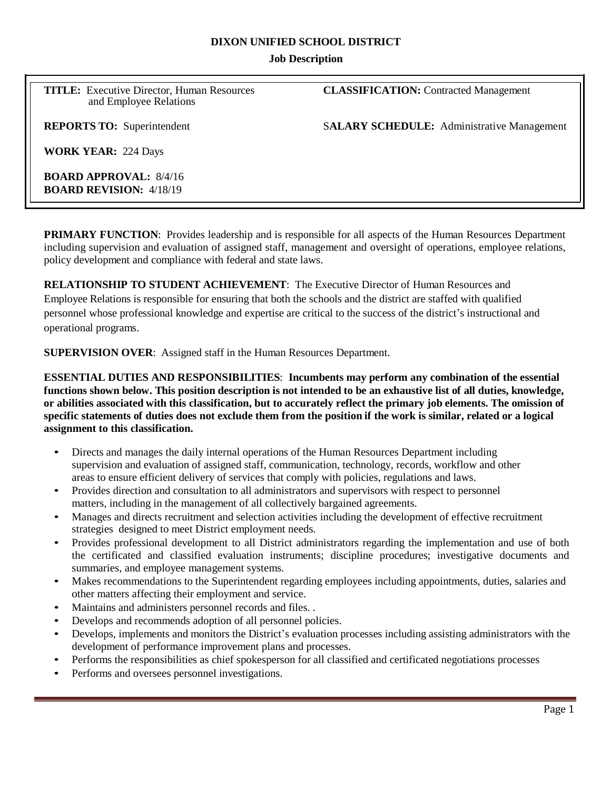#### **DIXON UNIFIED SCHOOL DISTRICT**

### **Job Description**

**TITLE:** Executive Director, Human Resources **CLASSIFICATION:** Contracted Management and Employee Relations

**REPORTS TO:** Superintendent SALARY SCHEDULE: Administrative Management

**WORK YEAR:** 224 Days

**BOARD APPROVAL:** 8/4/16 **BOARD REVISION:** 4/18/19

**PRIMARY FUNCTION**: Provides leadership and is responsible for all aspects of the Human Resources Department including supervision and evaluation of assigned staff, management and oversight of operations, employee relations, policy development and compliance with federal and state laws.

**RELATIONSHIP TO STUDENT ACHIEVEMENT**: The Executive Director of Human Resources and Employee Relations is responsible for ensuring that both the schools and the district are staffed with qualified personnel whose professional knowledge and expertise are critical to the success of the district's instructional and operational programs.

**SUPERVISION OVER**: Assigned staff in the Human Resources Department.

**ESSENTIAL DUTIES AND RESPONSIBILITIES**: **Incumbents may perform any combination of the essential functions shown below. This position description is not intended to be an exhaustive list of all duties, knowledge, or abilities associated with this classification, but to accurately reflect the primary job elements. The omission of**  specific statements of duties does not exclude them from the position if the work is similar, related or a logical **assignment to this classification.**

- Directs and manages the daily internal operations of the Human Resources Department including supervision and evaluation of assigned staff, communication, technology, records, workflow and other areas to ensure efficient delivery of services that comply with policies, regulations and laws.
- Provides direction and consultation to all administrators and supervisors with respect to personnel matters, including in the management of all collectively bargained agreements.
- Manages and directs recruitment and selection activities including the development of effective recruitment strategies designed to meet District employment needs.
- Provides professional development to all District administrators regarding the implementation and use of both the certificated and classified evaluation instruments; discipline procedures; investigative documents and summaries, and employee management systems.
- Makes recommendations to the Superintendent regarding employees including appointments, duties, salaries and other matters affecting their employment and service.
- Maintains and administers personnel records and files. .
- Develops and recommends adoption of all personnel policies.
- Develops, implements and monitors the District's evaluation processes including assisting administrators with the development of performance improvement plans and processes.
- Performs the responsibilities as chief spokesperson for all classified and certificated negotiations processes
- Performs and oversees personnel investigations.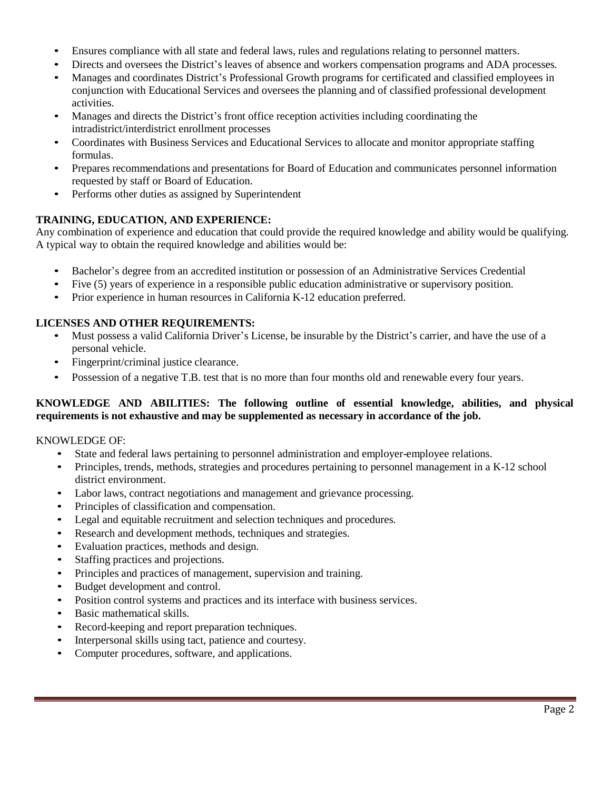- Ensures compliance with all state and federal laws, rules and regulations relating to personnel matters.
- Directs and oversees the District's leaves of absence and workers compensation programs and ADA processes.
- Manages and coordinates District's Professional Growth programs for certificated and classified employees in conjunction with Educational Services and oversees the planning and of classified professional development activities.
- Manages and directs the District's front office reception activities including coordinating the intradistrict/interdistrict enrollment processes
- Coordinates with Business Services and Educational Services to allocate and monitor appropriate staffing formulas.
- Prepares recommendations and presentations for Board of Education and communicates personnel information requested by staff or Board of Education.
- Performs other duties as assigned by Superintendent

# **TRAINING, EDUCATION, AND EXPERIENCE:**

Any combination of experience and education that could provide the required knowledge and ability would be qualifying. A typical way to obtain the required knowledge and abilities would be:

- Bachelor's degree from an accredited institution or possession of an Administrative Services Credential
- Five (5) years of experience in a responsible public education administrative or supervisory position.
- Prior experience in human resources in California K-12 education preferred.

# **LICENSES AND OTHER REQUIREMENTS:**

- Must possess a valid California Driver's License, be insurable by the District's carrier, and have the use of a personal vehicle.
- Fingerprint/criminal justice clearance.
- Possession of a negative T.B. test that is no more than four months old and renewable every four years.

## **KNOWLEDGE AND ABILITIES: The following outline of essential knowledge, abilities, and physical requirements is not exhaustive and may be supplemented as necessary in accordance of the job.**

### KNOWLEDGE OF:

- State and federal laws pertaining to personnel administration and employer-employee relations.
- Principles, trends, methods, strategies and procedures pertaining to personnel management in a K-12 school district environment.
- Labor laws, contract negotiations and management and grievance processing.
- Principles of classification and compensation.
- Legal and equitable recruitment and selection techniques and procedures.
- Research and development methods, techniques and strategies.
- Evaluation practices, methods and design.
- Staffing practices and projections.
- Principles and practices of management, supervision and training.
- Budget development and control.
- Position control systems and practices and its interface with business services.
- Basic mathematical skills.
- Record-keeping and report preparation techniques.
- Interpersonal skills using tact, patience and courtesy.
- Computer procedures, software, and applications.